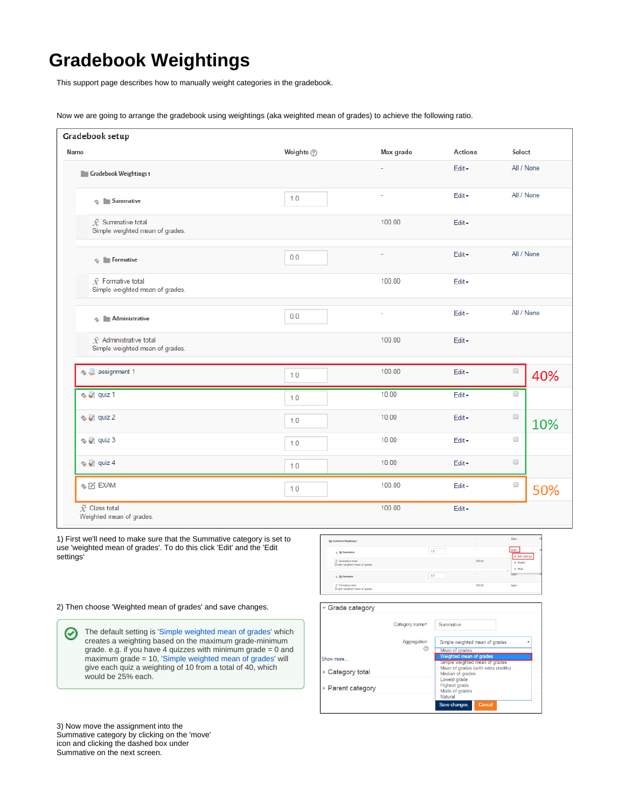## **Gradebook Weightings**

This support page describes how to manually weight categories in the gradebook.

Now we are going to arrange the gradebook using weightings (aka weighted mean of grades) to achieve the following ratio.

| <b>Gradebook setup</b>                                                 |             |           |                |                      |            |
|------------------------------------------------------------------------|-------------|-----------|----------------|----------------------|------------|
| <b>Name</b>                                                            | Weights (?) | Max grade | <b>Actions</b> | <b>Select</b>        |            |
| <b>Gradebook Weightings1</b>                                           |             |           | Edit -         | All / None           |            |
| $\textcircled{1}$ Summative                                            | 1.0         |           | Edit -         |                      | All / None |
| $\bar{\chi}$ Summative total<br>Simple weighted mean of grades.        |             | 100.00    | Edit $\sim$    |                      |            |
| $\textcircled{*}$ Formative                                            | 0.0         | ä,        | Edit -         | All / None           |            |
| $\bar{\mathcal{K}}$ Formative total<br>Simple weighted mean of grades. |             | 100.00    | $Edit -$       |                      |            |
| <b>Administrative</b><br>♦                                             | 0.0         |           | Edit -         | All / None           |            |
| $\bar{\chi}$ Administrative total<br>Simple weighted mean of grades.   |             | 100.00    | Edit -         |                      |            |
| ♦ assignment 1                                                         | 1.0         | 100.00    | Edit -         | $\Box$               | 40%        |
| $\Diamond \bigvee$ quiz 1                                              | 1.0         | 10.00     | Edit -         | $\Box$               |            |
| $\sim$ quiz 2                                                          | 1.0         | 10.00     | Edit -         | $\Box$               | 10%        |
| $\sim$ quiz 3                                                          | 1.0         | 10.00     | Edit -         | $\Box$               |            |
| $\sim$ $\sqrt{q}$ quiz 4                                               | 1.0         | 10.00     | Edit $\sim$    | $\qquad \qquad \Box$ |            |
| $\textcolor{red}{\diamond} \textcolor{blue}{\boxtimes}$ EXAM           | 1.0         | 100.00    | Edit -         | $\Box$               | 50%        |
| <b>I</b> ∕ Class total<br>Weighted mean of grades.                     |             | 100.00    | Edit -         |                      |            |

1) First we'll need to make sure that the Summative category is set to use 'weighted mean of grades'. To do this click 'Edit' and the 'Edit settings'

2) Then choose 'Weighted mean of grades' and save changes.

The default setting is ['Simple weighted mean of grades'](https://docs.moodle.org/34/en/Grade_aggregation#Simple_weighted_mean) which ⊗ creates a weighting based on the maximum grade-minimum grade. e.g. if you have 4 quizzes with minimum grade = 0 and maximum grade = 10, ['Simple weighted mean of grades'](https://docs.moodle.org/34/en/Grade_aggregation#Simple_weighted_mean) will give each quiz a weighting of 10 from a total of 40, which would be 25% each.



3) Now move the assignment into the Summative category by clicking on the 'move' icon and clicking the dashed box under Summative on the next screen.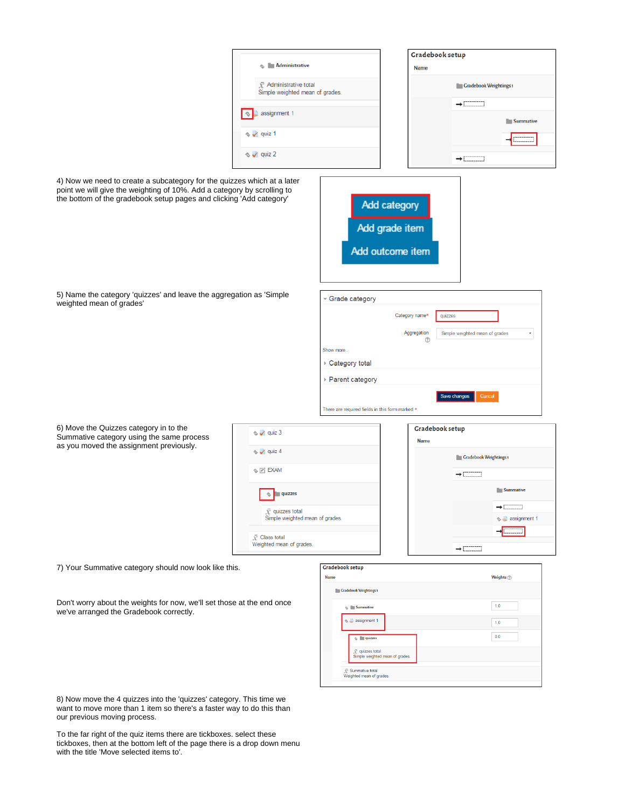| <b>Administrative</b><br>÷.                               | Gradebook setup<br><b>Name</b> |
|-----------------------------------------------------------|--------------------------------|
| R Administrative total<br>Simple weighted mean of grades. | <b>Gradebook Weightings1</b>   |
| assignment 1                                              | --------<br>Summative<br>٠     |
| $\Diamond \lor$ quiz 1                                    | ---------<br>---------         |
| $\rightsquigarrow \rightsquigarrow$ quiz 2                |                                |

4) Now we need to create a subcategory for the quizzes which at a later point we will give the weighting of 10%. Add a category by scrolling to the bottom of the gradebook setup pages and clicking 'Add category'



Category name\*

Aggregation  $\sqrt{2}$  quizzes

Simple weighted mean of grades

Save changes Cancel

v

Grade category

There are required fields in this form marked \*

Show more ▶ Category total ▶ Parent category

5) Name the category 'quizzes' and leave the aggregation as 'Simple weighted mean of grades'

6) Move the Quizzes category in to the Summative category using the same process as you moved the assignment previously.



7) Your Summative category should now look like this.

Don't worry about the weights for now, we'll set those at the end once we've arranged the Gradebook correctly.

|--|--|--|

| <b>Summative</b><br>ó,                             | 1.0 |
|----------------------------------------------------|-----|
| assignment 1                                       | 1.0 |
| quizzes                                            | 0.0 |
| x quizzes total<br>Simple weighted mean of grades. |     |

8) Now move the 4 quizzes into the 'quizzes' category. This time we want to move more than 1 item so there's a faster way to do this than our previous moving process.

To the far right of the quiz items there are tickboxes. select these tickboxes, then at the bottom left of the page there is a drop down menu with the title 'Move selected items to'.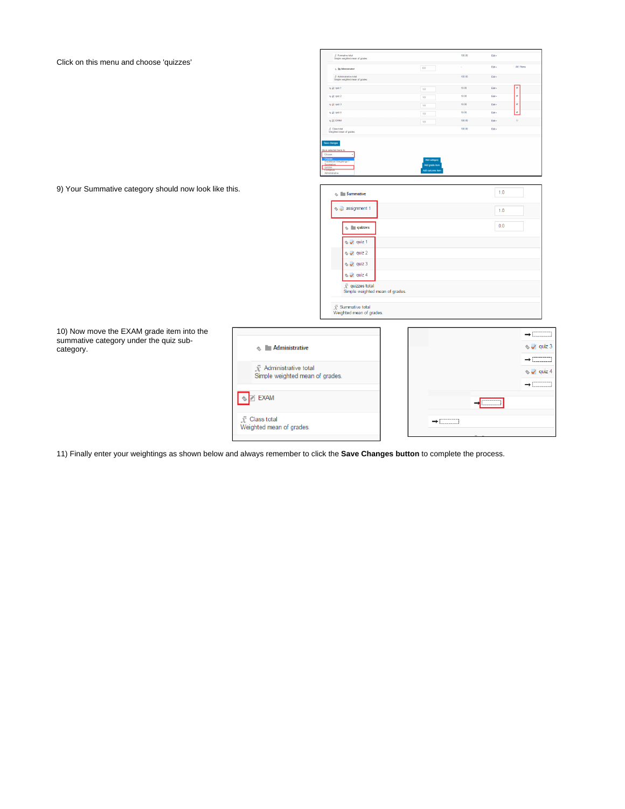Click on this menu and choose 'quizzes'

|                                          | ₹ Formative total<br>Simple weighted mean of grades.                         |                                                    | 100.00 | Edit+ |                         |
|------------------------------------------|------------------------------------------------------------------------------|----------------------------------------------------|--------|-------|-------------------------|
|                                          | c. In Administrative                                                         | 00                                                 |        | Edit- | All / None              |
|                                          | $\tilde{\mathcal{R}}$ Administrative total<br>Simple weighted mean of grades |                                                    | 100.00 | Edt+  |                         |
|                                          | $\propto \sqrt{2}$ quiz 1                                                    | $1.0\,$                                            | 10.00  | Edit+ | $\mathbf{z}$            |
|                                          | $6 - 2$ quiz 2                                                               | 1.0                                                | 10.00  | Edt+  | $\mathcal{D}$           |
|                                          | $6\sqrt{2}$ quiz 3                                                           | 10                                                 | 10.00  | Edit- | $\mathbf 8$             |
|                                          | $\sim$ $\sqrt{}$ quiz 4                                                      | 1.0                                                | 10.00  | Edit+ | ø                       |
|                                          | $\Diamond$ $\Box$ DWI                                                        | 1.0                                                | 100.00 | Edt+  | $\Box$                  |
|                                          | . © Class total<br>Weighted mean of grades.                                  |                                                    | 100.00 | Edit- |                         |
|                                          | Gradebook Weightings 1<br>quizze<br><b>Pormativa</b><br>Administrative       | Add category<br>Add grade item<br>Add cutcome item |        |       |                         |
|                                          | $\sim$ <b>Summative</b>                                                      |                                                    |        | 1.0   |                         |
|                                          | Se assignment 1                                                              |                                                    |        |       |                         |
|                                          |                                                                              |                                                    |        | 1.0   |                         |
|                                          | $\textcircled{1}$ quizzes                                                    |                                                    |        | 0.0   |                         |
|                                          |                                                                              |                                                    |        |       |                         |
|                                          | $\rightsquigarrow \blacktriangleleft$ quiz 1                                 |                                                    |        |       |                         |
|                                          | $\rightsquigarrow \blacktriangleleft$ quiz 2                                 |                                                    |        |       |                         |
|                                          | $\sim$ quiz 3                                                                |                                                    |        |       |                         |
|                                          | $\rightsquigarrow \blacktriangleleft$ quiz 4                                 |                                                    |        |       |                         |
|                                          | $\bar{x}$ quizzes total<br>Simple weighted mean of grades.                   |                                                    |        |       |                         |
|                                          | $\bar{x}$ Summative total<br>Weighted mean of grades.                        |                                                    |        |       |                         |
|                                          |                                                                              |                                                    |        |       |                         |
|                                          |                                                                              |                                                    |        |       | $\rightarrow$ $\Box$    |
| <b>Administrative</b>                    |                                                                              |                                                    |        |       | $\sim$ $\sqrt{}$ quiz 3 |
| $\bar{\mathcal{X}}$ Administrative total |                                                                              |                                                    |        |       | $\rightarrow$ $\Box$    |
| Simple weighted mean of grades.          |                                                                              |                                                    |        |       | $\leq$ quiz 4           |
|                                          |                                                                              |                                                    |        |       |                         |

 $\rightarrow$ ┑

 $\rightarrow$   $\overline{\text{max}}$ 

J.

 $\rightarrow$   $\Box$ 

10) Now move the EXAM grade item into the summative category under the quiz subcategory.

9) Your Summative category should now look like this.

| 11) Finally enter your weightings as shown below and always remember to click the <b>Save Changes button</b> to complete the process. |  |
|---------------------------------------------------------------------------------------------------------------------------------------|--|

 $\Diamond \Box$  EXAM

 $\bar{x}$  Class total

Weighted mean of grades.